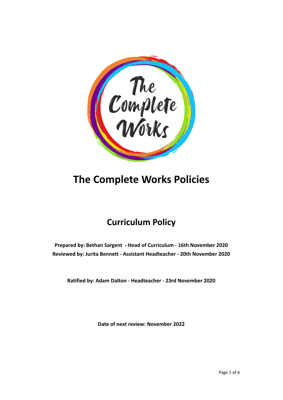

# **The Complete Works Policies**

# **Curriculum Policy**

**Prepared by: Bethan Sargent - Head of Curriculum - 16th November 2020 Reviewed by: Jurita Bennett - Assistant Headteacher - 20th November 2020**

**Ratified by: Adam Dalton - Headteacher - 23rd November 2020**

**Date of next review: November 2022**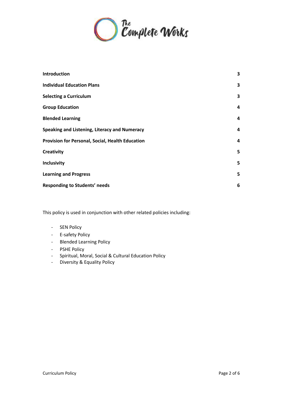

| <b>Introduction</b>                              | 3 |
|--------------------------------------------------|---|
| <b>Individual Education Plans</b>                | 3 |
| <b>Selecting a Curriculum</b>                    | 3 |
| <b>Group Education</b>                           | 4 |
| <b>Blended Learning</b>                          | 4 |
| Speaking and Listening, Literacy and Numeracy    | 4 |
| Provision for Personal, Social, Health Education | 4 |
| Creativity                                       | 5 |
| <b>Inclusivity</b>                               | 5 |
| <b>Learning and Progress</b>                     | 5 |
| <b>Responding to Students' needs</b>             | 6 |
|                                                  |   |

This policy is used in conjunction with other related policies including:

- SEN Policy
- E-safety Policy
- Blended Learning Policy
- PSHE Policy
- Spiritual, Moral, Social & Cultural Education Policy
- Diversity & Equality Policy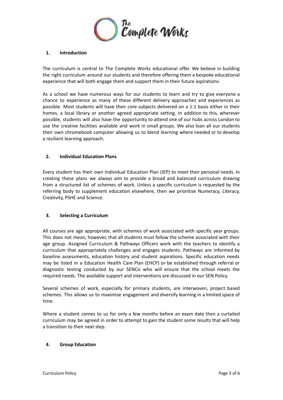

### <span id="page-2-0"></span>**1. Introduction**

The curriculum is central to The Complete Works educational offer. We believe in building the right curriculum around our students and therefore offering them a bespoke educational experience that will both engage them and support them in their future aspirations.

As a school we have numerous ways for our students to learn and try to give everyone a chance to experience as many of these different delivery approaches and experiences as possible. Most students will have their core subjects delivered on a 1:1 basis either in their homes, a local library or another agreed appropriate setting. In addition to this, wherever possible, students will also have the opportunity to attend one of our hubs across London to use the creative facilities available and work in small groups. We also loan all our students their own chromebook computer allowing us to blend learning where needed or to develop a resilient learning approach.

# <span id="page-2-1"></span>**2. Individual Education Plans**

Every student has their own Individual Education Plan (IEP) to meet their personal needs. In creating these plans we always aim to provide a broad and balanced curriculum drawing from a structured list of schemes of work. Unless a specific curriculum is requested by the referring body to supplement education elsewhere, then we prioritise Numeracy, Literacy, Creativity, PSHE and Science.

#### <span id="page-2-2"></span>**3. Selecting a Curriculum**

All courses are age appropriate, with schemes of work associated with specific year groups. This does not mean, however, that all students must follow the scheme associated with their age group. Assigned Curriculum & Pathways Officers work with the teachers to identify a curriculum that appropriately challenges and engages students. Pathways are informed by baseline assessments, education history and student aspirations. Specific education needs may be listed in a Education Health Care Plan (EHCP) or be established through referral or diagnostic testing conducted by our SENCo who will ensure that the school meets the required needs. The available support and interventions are discussed in our SEN Policy.

Several schemes of work, especially for primary students, are interwoven, project based schemes. This allows us to maximise engagement and diversify learning in a limited space of time.

Where a student comes to us for only a few months before an exam date then a curtailed curriculum may be agreed in order to attempt to gain the student some results that will help a transition to their next step.

#### <span id="page-2-3"></span>**4. Group Education**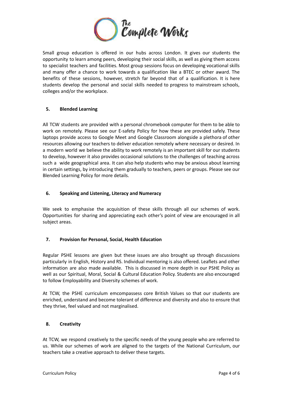

Small group education is offered in our hubs across London. It gives our students the opportunity to learn among peers, developing their social skills, as well as giving them access to specialist teachers and facilities. Most group sessions focus on developing vocational skills and many offer a chance to work towards a qualification like a BTEC or other award. The benefits of these sessions, however, stretch far beyond that of a qualification. It is here students develop the personal and social skills needed to progress to mainstream schools, colleges and/or the workplace.

# <span id="page-3-0"></span>**5. Blended Learning**

All TCW students are provided with a personal chromebook computer for them to be able to work on remotely. Please see our E-safety Policy for how these are provided safely. These laptops provide access to Google Meet and Google Classroom alongside a plethora of other resources allowing our teachers to deliver education remotely where necessary or desired. In a modern world we believe the ability to work remotely is an important skill for our students to develop, however it also provides occasional solutions to the challenges of teaching across such a wide geographical area. It can also help students who may be anxious about learning in certain settings, by introducing them gradually to teachers, peers or groups. Please see our Blended Learning Policy for more details.

# <span id="page-3-1"></span>**6. Speaking and Listening, Literacy and Numeracy**

We seek to emphasise the acquisition of these skills through all our schemes of work. Opportunities for sharing and appreciating each other's point of view are encouraged in all subject areas.

# <span id="page-3-2"></span>**7. Provision for Personal, Social, Health Education**

Regular PSHE lessons are given but these issues are also brought up through discussions particularly in English, History and RS. Individual mentoring is also offered. Leaflets and other information are also made available. This is discussed in more depth in our PSHE Policy as well as our Spiritual, Moral, Social & Cultural Education Policy. Students are also encouraged to follow Employability and Diversity schemes of work.

At TCW, the PSHE curriculum emcompassess core British Values so that our students are enriched, understand and become tolerant of difference and diversity and also to ensure that they thrive, feel valued and not marginalised.

#### <span id="page-3-3"></span>**8. Creativity**

At TCW, we respond creatively to the specific needs of the young people who are referred to us. While our schemes of work are aligned to the targets of the National Curriculum, our teachers take a creative approach to deliver these targets.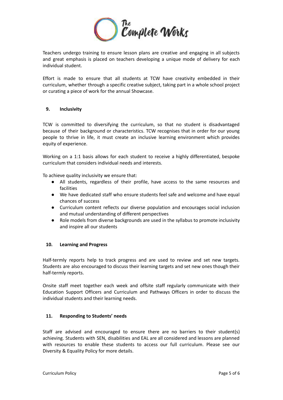

Teachers undergo training to ensure lesson plans are creative and engaging in all subjects and great emphasis is placed on teachers developing a unique mode of delivery for each individual student.

Effort is made to ensure that all students at TCW have creativity embedded in their curriculum, whether through a specific creative subject, taking part in a whole school project or curating a piece of work for the annual Showcase.

# <span id="page-4-0"></span>**9. Inclusivity**

TCW is committed to diversifying the curriculum, so that no student is disadvantaged because of their background or characteristics. TCW recognises that in order for our young people to thrive in life, it must create an inclusive learning environment which provides equity of experience.

Working on a 1:1 basis allows for each student to receive a highly differentiated, bespoke curriculum that considers individual needs and interests.

To achieve quality inclusivity we ensure that:

- All students, regardless of their profile, have access to the same resources and facilities
- We have dedicated staff who ensure students feel safe and welcome and have equal chances of success
- Curriculum content reflects our diverse population and encourages social inclusion and mutual understanding of different perspectives
- Role models from diverse backgrounds are used in the syllabus to promote inclusivity and inspire all our students

#### <span id="page-4-1"></span>**10. Learning and Progress**

Half-termly reports help to track progress and are used to review and set new targets. Students are also encouraged to discuss their learning targets and set new ones though their half-termly reports.

Onsite staff meet together each week and offsite staff regularly communicate with their Education Support Officers and Curriculum and Pathways Officers in order to discuss the individual students and their learning needs.

#### <span id="page-4-2"></span>**11. Responding to Students' needs**

Staff are advised and encouraged to ensure there are no barriers to their student(s) achieving. Students with SEN, disabilities and EAL are all considered and lessons are planned with resources to enable these students to access our full curriculum. Please see our Diversity & Equality Policy for more details.